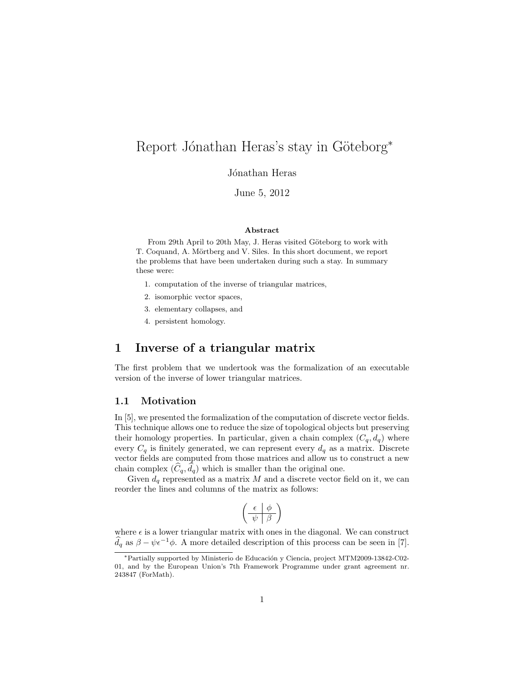# Report Jónathan Heras's stay in Göteborg<sup>\*</sup>

Jónathan Heras

June 5, 2012

#### Abstract

From 29th April to 20th May, J. Heras visited Göteborg to work with T. Coquand, A. Mörtberg and V. Siles. In this short document, we report the problems that have been undertaken during such a stay. In summary these were:

- 1. computation of the inverse of triangular matrices,
- 2. isomorphic vector spaces,
- 3. elementary collapses, and
- 4. persistent homology.

### 1 Inverse of a triangular matrix

The first problem that we undertook was the formalization of an executable version of the inverse of lower triangular matrices.

### <span id="page-0-0"></span>1.1 Motivation

In [\[5\]](#page-16-0), we presented the formalization of the computation of discrete vector fields. This technique allows one to reduce the size of topological objects but preserving their homology properties. In particular, given a chain complex  $(C_q, d_q)$  where every  $C_q$  is finitely generated, we can represent every  $d_q$  as a matrix. Discrete vector fields are computed from those matrices and allow us to construct a new chain complex  $(\tilde{C}_q, d_q)$  which is smaller than the original one.

Given  $d_q$  represented as a matrix M and a discrete vector field on it, we can reorder the lines and columns of the matrix as follows:

$$
\left(\begin{array}{c|c}\n\epsilon & \phi \\
\hline\n\psi & \beta\n\end{array}\right)
$$

where  $\epsilon$  is a lower triangular matrix with ones in the diagonal. We can construct  $\hat{d}_q$  as  $\beta - \psi \epsilon^{-1} \phi$ . A more detailed description of this process can be seen in [\[7\]](#page-17-0).

<sup>\*</sup>Partially supported by Ministerio de Educación y Ciencia, project MTM2009-13842-C02-01, and by the European Union's 7th Framework Programme under grant agreement nr. 243847 (ForMath).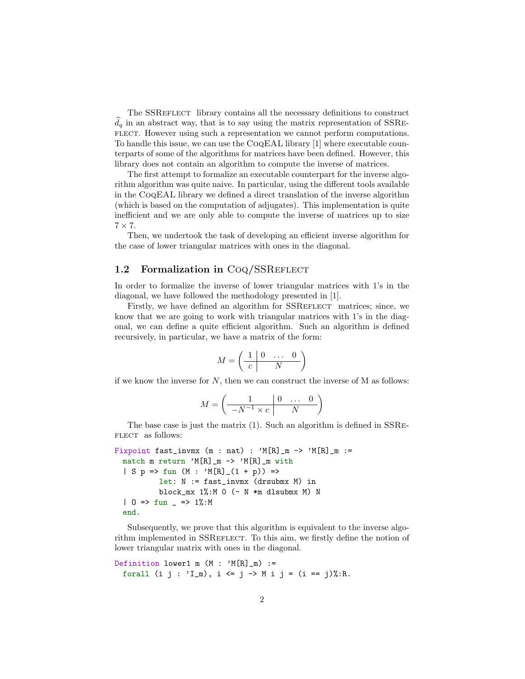The SSREFLECT library contains all the necessary definitions to construct  $d_q$  in an abstract way, that is to say using the matrix representation of SSRE-FLECT. However using such a representation we cannot perform computations. To handle this issue, we can use the CoqEAL library [\[1\]](#page-16-1) where executable counterparts of some of the algorithms for matrices have been defined. However, this library does not contain an algorithm to compute the inverse of matrices.

The first attempt to formalize an executable counterpart for the inverse algorithm algorithm was quite naive. In particular, using the different tools available in the CoqEAL library we defined a direct translation of the inverse algorithm (which is based on the computation of adjugates). This implementation is quite inefficient and we are only able to compute the inverse of matrices up to size  $7 \times 7$ .

Then, we undertook the task of developing an efficient inverse algorithm for the case of lower triangular matrices with ones in the diagonal.

#### 1.2 Formalization in CoQ/SSREFLECT

In order to formalize the inverse of lower triangular matrices with 1's in the diagonal, we have followed the methodology presented in [\[1\]](#page-16-1).

Firstly, we have defined an algorithm for SSREFLECT matrices; since, we know that we are going to work with triangular matrices with 1's in the diagonal, we can define a quite efficient algorithm. Such an algorithm is defined recursively, in particular, we have a matrix of the form:

$$
M=\left(\begin{array}{c|cc}1&0&\dots&0\\ \hline c&\quad&\ddots\end{array}\right)
$$

if we know the inverse for  $N$ , then we can construct the inverse of  $M$  as follows:

$$
M = \left(\begin{array}{c|cc} 1 & 0 & \dots & 0 \\ \hline -N^{-1} \times c & N \end{array}\right)
$$

The base case is just the matrix (1). Such an algorithm is defined in SSRe-FLECT as follows:

```
Fixpoint fast_invmx (m : nat) : 'M[R]_m -> 'M[R]_m :=match m return 'M[R]_m -> 'M[R]_m with
 | S p => fun (M : 'M[R]_-(1 + p)) =>
          let: N := fast_invmx (drsubmx M) in
          block_mx 1%:M 0 (- N *m dlsubmx M) N
 | 0 \implies fun = > 1%:M
 end.
```
Subsequently, we prove that this algorithm is equivalent to the inverse algorithm implemented in SSREFLECT. To this aim, we firstly define the notion of lower triangular matrix with ones in the diagonal.

```
Definition lower1 m (M : 'M[R]_m) :=
 forall (i j : 'I_m), i <= j -> M i j = (i == j)%:R.
```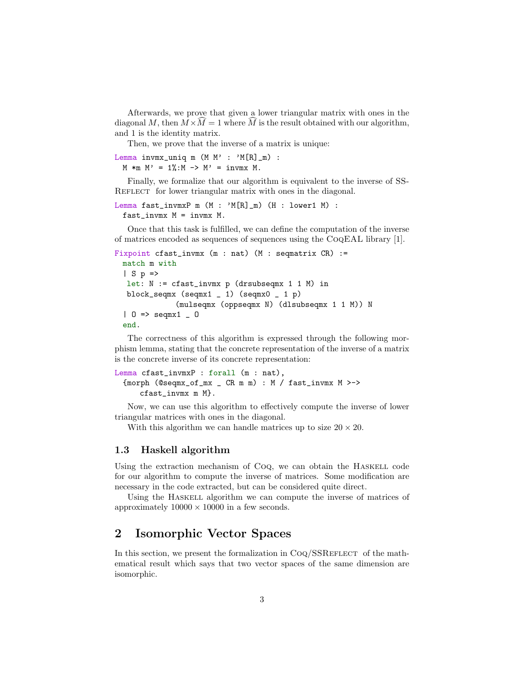Afterwards, we prove that given a lower triangular matrix with ones in the diagonal M, then  $M \times \hat{M} = 1$  where  $\hat{M}$  is the result obtained with our algorithm, and 1 is the identity matrix.

Then, we prove that the inverse of a matrix is unique:

Lemma invmx\_uniq m  $(M M' : 'M[R]_m)$  :  $M \ast m M' = 1\%; M \rightarrow M' = invmx M.$ 

Finally, we formalize that our algorithm is equivalent to the inverse of SS-REFLECT for lower triangular matrix with ones in the diagonal.

```
Lemma fast_invmxP m (M : 'M[R]_m) (H : lower1 M) :
 fast_invmx M = invmx M.
```
Once that this task is fulfilled, we can define the computation of the inverse of matrices encoded as sequences of sequences using the CoqEAL library [\[1\]](#page-16-1).

```
Fixpoint cfast_invmx (m : nat) (M : seqmatrix CR) :=
 match m with
 | S p =>
  let: N := cfast_invmx p (drsubseqmx 1 1 M) in
  block_seqmx (seqmx1 _ 1) (seqmx0 _ 1 p)
              (mulseqmx (oppseqmx N) (dlsubseqmx 1 1 M)) N
  | 0 => seqmx1 = 0
 end.
```
The correctness of this algorithm is expressed through the following morphism lemma, stating that the concrete representation of the inverse of a matrix is the concrete inverse of its concrete representation:

```
Lemma cfast_invmxP : forall (m : nat),
 {morph (@seqmx_of_mx _ CR m m) : M / fast_invmx M >->
     cfast_invmx m M}.
```
Now, we can use this algorithm to effectively compute the inverse of lower triangular matrices with ones in the diagonal.

With this algorithm we can handle matrices up to size  $20 \times 20$ .

#### 1.3 Haskell algorithm

Using the extraction mechanism of CoQ, we can obtain the HASKELL code for our algorithm to compute the inverse of matrices. Some modification are necessary in the code extracted, but can be considered quite direct.

Using the Haskell algorithm we can compute the inverse of matrices of approximately  $10000 \times 10000$  in a few seconds.

### 2 Isomorphic Vector Spaces

In this section, we present the formalization in  $\text{Coq}/\text{SSREFLECT}$  of the mathematical result which says that two vector spaces of the same dimension are isomorphic.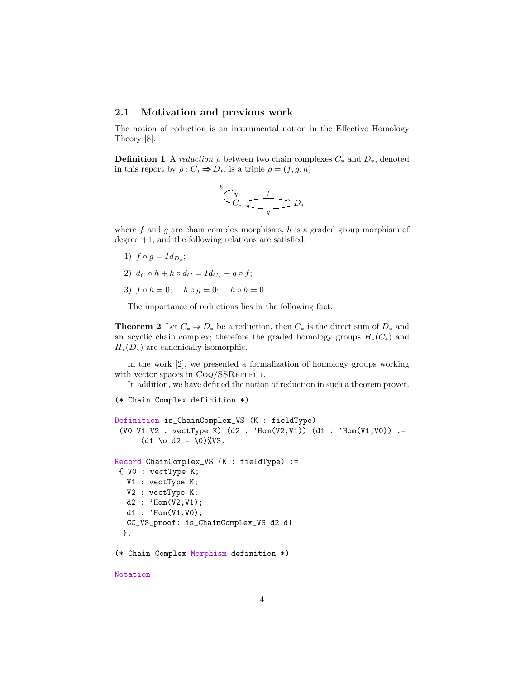#### 2.1 Motivation and previous work

The notion of reduction is an instrumental notion in the Effective Homology Theory [\[8\]](#page-17-1).

**Definition 1** A reduction  $\rho$  between two chain complexes  $C_*$  and  $D_*$ , denoted in this report by  $\rho: C_* \Rightarrow D_*,$  is a triple  $\rho = (f, g, h)$ 

$$
\bigwedge^h C_* \xrightarrow{f} D_*
$$

where f and g are chain complex morphisms, h is a graded group morphism of degree  $+1$ , and the following relations are satisfied:

- 1)  $f \circ g = Id_{D_*};$
- 2)  $d_C \circ h + h \circ d_C = Id_{C_*} g \circ f;$
- 3)  $f \circ h = 0;$   $h \circ g = 0;$   $h \circ h = 0.$

The importance of reductions lies in the following fact.

<span id="page-3-0"></span>**Theorem 2** Let  $C_* \Rightarrow D_*$  be a reduction, then  $C_*$  is the direct sum of  $D_*$  and an acyclic chain complex; therefore the graded homology groups  $H_*(C_*)$  and  $H_*(D_*)$  are canonically isomorphic.

In the work [\[2\]](#page-16-2), we presented a formalization of homology groups working with vector spaces in CoQ/SSREFLECT.

In addition, we have defined the notion of reduction in such a theorem prover.

```
(* Chain Complex definition *)
Definition is_ChainComplex_VS (K : fieldType)
 (V0 V1 V2 : vectType K) (d2 : 'Hom(V2,V1)) (d1 : 'Hom(V1,V0)) :=
      (d1 \o d2 = \0)%VS.
Record ChainComplex_VS (K : fieldType) :=
{ V0 : vectType K;
  V1 : vectType K;
  V2 : vectType K;
  d2 : 'Hom(V2,V1);d1 : 'Hom(V1,V0);
  CC_VS_proof: is_ChainComplex_VS d2 d1
 }.
(* Chain Complex Morphism definition *)
Notation
```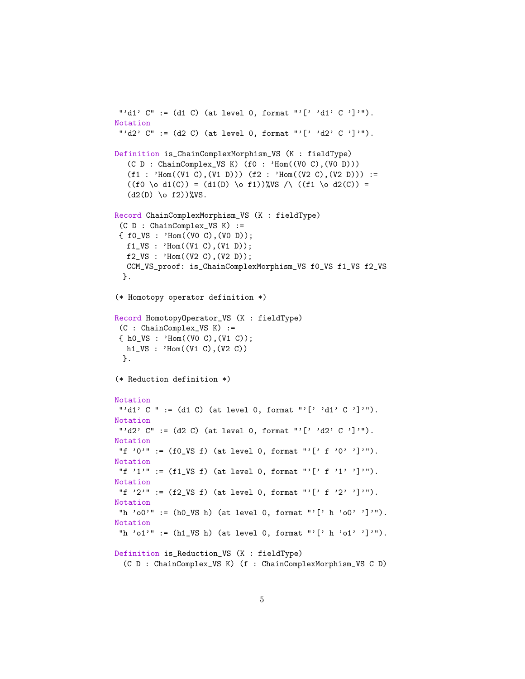```
"'d1' C" := (d1 C) (at level 0, format "'[' 'd1' C ']'").
Notation
"'d2' C'' := (d2 C) (at level 0, format "'[' 'd2' C ']'").
Definition is_ChainComplexMorphism_VS (K : fieldType)
  (C D : ChainComplex_VS K) (f0 : 'Hom((V0 C),(V0 D)))
  (f1 : 'Hom((V1 C), (V1 D))) (f2 : 'Hom((V2 C), (V2 D))) :=((f0 \ 0 d1(C)) = (d1(D) \ 0 f1)) WS \wedge ((f1 \ 0 d2(C)) =(d2(D) \  \  \  \)  f2)) WS.
Record ChainComplexMorphism_VS (K : fieldType)
 (C D : ChainComplex_VS K) :=
{ f0_VS : 'Hom((V0 C),(V0 D));
  f1_VS : 'Hom((V1 C), (V1 D));f2_VS : 'Hom((V2 C), (V2 D));CCM_VS_proof: is_ChainComplexMorphism_VS f0_VS f1_VS f2_VS
 }.
(* Homotopy operator definition *)
Record HomotopyOperator_VS (K : fieldType)
(C : ChainComplex_VS K) :=
{ h0_VS : 'Hom((V0 C),(V1 C));
  h1_VS : 'Hom((V1 C),(V2 C))
 }.
(* Reduction definition *)
Notation
"'d1' C " := (d1 C) (at level 0, format "'[' 'd1' C ']'").
Notation
"'d2' C'' := (d2 C) (at level 0, format "'[''d2' C']'").
Notation
"f '0'" := (f0_VS f) (at level 0, format "'[' f '0' ']'").
Notation
"f '1'" := (f1/VS f) (at level 0, format "'[' f '1' ']'").
Notation
"f '2'" := (f2/VS f) (at level 0, format "'[' f '2' ']'").
Notation
"h 'o0'" := (h0_VS h) (at level 0, format "'[' h 'o0' ']'").
Notation
"h 'o1'" := (h1/VS h) (at level 0, format "'[' h 'o1' ']'").
Definition is_Reduction_VS (K : fieldType)
  (C D : ChainComplex_VS K) (f : ChainComplexMorphism_VS C D)
```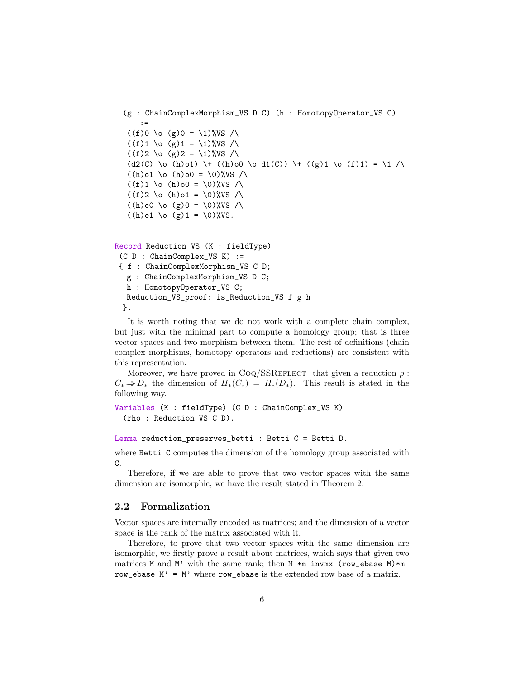```
(g : ChainComplexMorphism_VS D C) (h : HomotopyOperator_VS C)
    :=
 ((f)0 \ (g)0 = 1)%VS /
 ((f)1 \ (g)1 = \1)%VS /\
 ((f)2 \ (g)2 = \1)%VS /\
 (d2(C) \ 0 \ (h) 01) \ + \ (h) 00 \ 0 d1(C)) \ + \ (g) 1 \ 0 \ (f) 1) = \ 1 / \sqrt{2}((h) \circ 1 \ \lozenge \ (h) \circ 0 = \lozenge \)%VS /
 ((f)1 \ (h)00 = \ 0)%VS /
 ((f)2 \ (h)01 = \0) WS /
 ((h) o (g) 0 = \0)%VS /\
 ((h) \circ 1 \setminus \circ (g) 1 = \setminus 0) WS.
```

```
Record Reduction_VS (K : fieldType)
 (C D : ChainComplex_VS K) :=
 { f : ChainComplexMorphism_VS C D;
  g : ChainComplexMorphism_VS D C;
  h : HomotopyOperator_VS C;
  Reduction_VS_proof: is_Reduction_VS f g h
 }.
```
It is worth noting that we do not work with a complete chain complex, but just with the minimal part to compute a homology group; that is three vector spaces and two morphism between them. The rest of definitions (chain complex morphisms, homotopy operators and reductions) are consistent with this representation.

Moreover, we have proved in Coq/SSREFLECT that given a reduction  $\rho$ :  $C_* \Rightarrow D_*$  the dimension of  $H_*(C_*) = H_*(D_*)$ . This result is stated in the following way.

```
Variables (K : fieldType) (C D : ChainComplex_VS K)
  (rho : Reduction_VS C D).
```
Lemma reduction\_preserves\_betti : Betti C = Betti D.

where Betti C computes the dimension of the homology group associated with C.

Therefore, if we are able to prove that two vector spaces with the same dimension are isomorphic, we have the result stated in Theorem [2.](#page-3-0)

### 2.2 Formalization

Vector spaces are internally encoded as matrices; and the dimension of a vector space is the rank of the matrix associated with it.

Therefore, to prove that two vector spaces with the same dimension are isomorphic, we firstly prove a result about matrices, which says that given two matrices M and M' with the same rank; then M  $\ast$ m invmx (row\_ebase M) $\ast$ m row\_ebase  $M' = M'$  where row\_ebase is the extended row base of a matrix.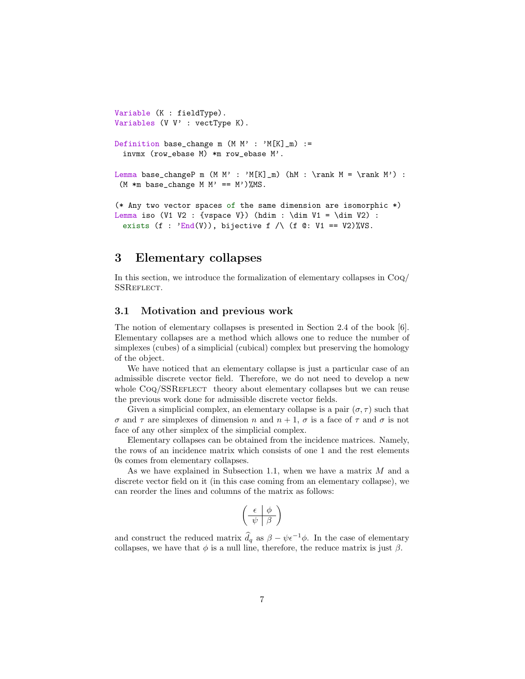```
Variable (K : fieldType).
Variables (V V' : vectType K).
Definition base_change m (M \t M' : 'M[K]_m) :=
 invmx (row_ebase M) *m row_ebase M'.
Lemma base_changeP m (M M' : 'M[K]_m) (hM : \rank M = \rank M') :
 (M *m base_{change} M M' == M')%MS.
(* Any two vector spaces of the same dimension are isomorphic *)
Lemma iso (V1 V2 : {vspace V}) (hdim : \dim V1 = \dim V2) :
```
exists (f :  $'End(V)$ ), bijective f /\ (f @: V1 == V2)%VS.

### 3 Elementary collapses

In this section, we introduce the formalization of elementary collapses in Coq/ SSREFLECT.

### 3.1 Motivation and previous work

The notion of elementary collapses is presented in Section 2.4 of the book [\[6\]](#page-17-2). Elementary collapses are a method which allows one to reduce the number of simplexes (cubes) of a simplicial (cubical) complex but preserving the homology of the object.

We have noticed that an elementary collapse is just a particular case of an admissible discrete vector field. Therefore, we do not need to develop a new whole CoQ/SSREFLECT theory about elementary collapses but we can reuse the previous work done for admissible discrete vector fields.

Given a simplicial complex, an elementary collapse is a pair  $(\sigma, \tau)$  such that σ and τ are simplexes of dimension n and n + 1, σ is a face of τ and σ is not face of any other simplex of the simplicial complex.

Elementary collapses can be obtained from the incidence matrices. Namely, the rows of an incidence matrix which consists of one 1 and the rest elements 0s comes from elementary collapses.

As we have explained in Subsection [1.1,](#page-0-0) when we have a matrix M and a discrete vector field on it (in this case coming from an elementary collapse), we can reorder the lines and columns of the matrix as follows:

$$
\left(\begin{array}{c|c}\n\epsilon & \phi \\
\hline\n\psi & \beta\n\end{array}\right)
$$

and construct the reduced matrix  $\hat{d}_q$  as  $\beta - \psi \epsilon^{-1} \phi$ . In the case of elementary collapses, we have that  $\phi$  is a null line, therefore, the reduce matrix is just  $\beta$ .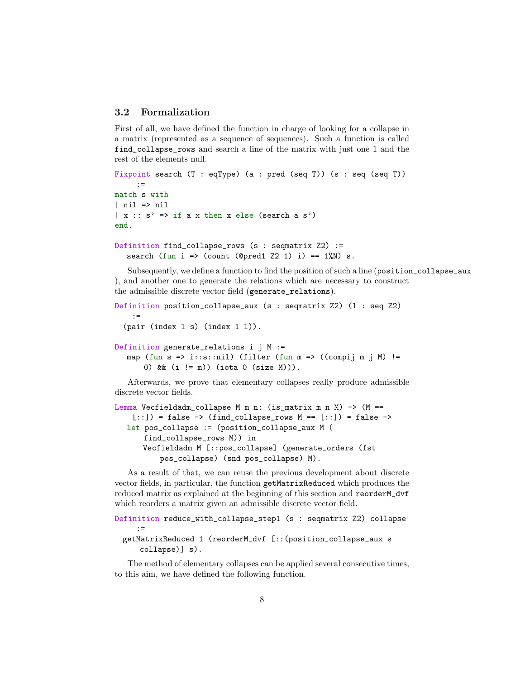### 3.2 Formalization

First of all, we have defined the function in charge of looking for a collapse in a matrix (represented as a sequence of sequences). Such a function is called find\_collapse\_rows and search a line of the matrix with just one 1 and the rest of the elements null.

```
Fixpoint search (T : eqType) (a : pred (seq T)) (s : seq (seq T))
    :=
match s with
| nil => nil
|x|: s' => if a x then x else (search a s')
end.
```

```
Definition find_collapse_rows (s : seqmatrix Z2) :=
  search (fun i => (count (@pred1 Z2 1) i) == 1\%N) s.
```
Subsequently, we define a function to find the position of such a line (position\_collapse\_aux ), and another one to generate the relations which are necessary to construct the admissible discrete vector field (generate\_relations).

```
Definition position_collapse_aux (s : seqmatrix Z2) (l : seq Z2)
    :=
  (pair (index l s) (index 1 l)).
Definition generate_relations i j M :=
  map (fun s => i::s::nil) (filter (fun m => ((compij m j M) !=
      0) && (i != m)) (iota 0 (size M))).
```
Afterwards, we prove that elementary collapses really produce admissible discrete vector fields.

```
Lemma Vecfieldadm_collapse M m n: (is_matrix m n M) -> (M ==
    [::) = false -> (find_collapse_rows M == [::) = false ->
  let pos_collapse := (position_collapse_aux M (
      find_collapse_rows M)) in
      Vecfieldadm M [::pos_collapse] (generate_orders (fst
          pos_collapse) (snd pos_collapse) M).
```
As a result of that, we can reuse the previous development about discrete vector fields, in particular, the function getMatrixReduced which produces the reduced matrix as explained at the beginning of this section and reorderM\_dvf which reorders a matrix given an admissible discrete vector field.

```
Definition reduce_with_collapse_step1 (s : seqmatrix Z2) collapse
     :=
 getMatrixReduced 1 (reorderM_dvf [::(position_collapse_aux s
     collapse)] s).
```
The method of elementary collapses can be applied several consecutive times, to this aim, we have defined the following function.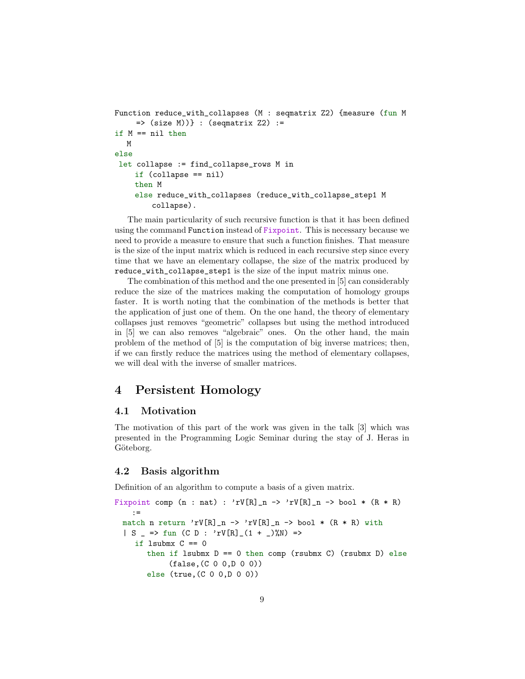```
Function reduce_with_collapses (M : seqmatrix Z2) {measure (fun M
     => (size M))} : (seqmatrix Z2) :=
if M == nil then
  M
else
let collapse := find_collapse_rows M in
    if (collapse == nil)
    then M
    else reduce_with_collapses (reduce_with_collapse_step1 M
        collapse).
```
The main particularity of such recursive function is that it has been defined using the command Function instead of Fixpoint. This is necessary because we need to provide a measure to ensure that such a function finishes. That measure is the size of the input matrix which is reduced in each recursive step since every time that we have an elementary collapse, the size of the matrix produced by reduce\_with\_collapse\_step1 is the size of the input matrix minus one.

The combination of this method and the one presented in [\[5\]](#page-16-0) can considerably reduce the size of the matrices making the computation of homology groups faster. It is worth noting that the combination of the methods is better that the application of just one of them. On the one hand, the theory of elementary collapses just removes "geometric" collapses but using the method introduced in [\[5\]](#page-16-0) we can also removes "algebraic" ones. On the other hand, the main problem of the method of [\[5\]](#page-16-0) is the computation of big inverse matrices; then, if we can firstly reduce the matrices using the method of elementary collapses, we will deal with the inverse of smaller matrices.

### 4 Persistent Homology

### 4.1 Motivation

The motivation of this part of the work was given in the talk [\[3\]](#page-16-3) which was presented in the Programming Logic Seminar during the stay of J. Heras in Göteborg.

### 4.2 Basis algorithm

Definition of an algorithm to compute a basis of a given matrix.

```
Fixpoint comp (n : nat) : rV[R]_n \rightarrow rV[R]_n \rightarrow bool * (R * R):=
 match n return 'rV[R]_n -> 'rV[R]_n -> bool * (R * R) with
 | S => fun (C D : 'rV[R] (1 + _)%N) =>
    if lsubmx C == 0then if lsubmx D = 0 then comp (rsubmx C) (rsubmx D) else
             (false,(C 0 0,D 0 0))
       else (true,(C 0 0,D 0 0))
```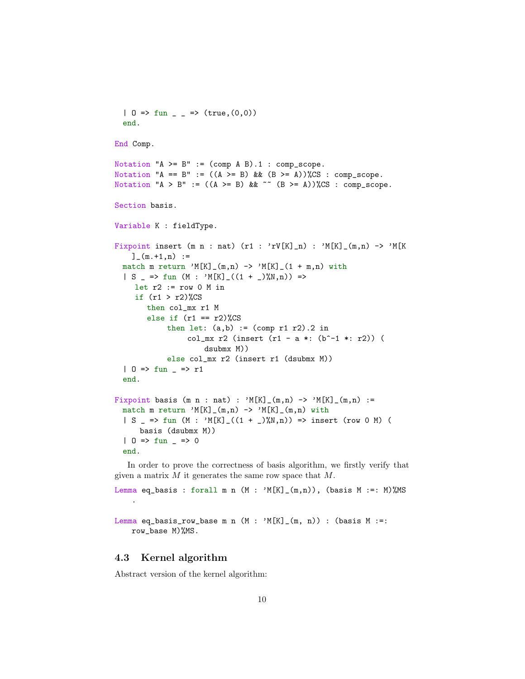```
| 0 \Rightarrow fun _ _ => (true, (0,0))
  end.
End Comp.
Notation 'A \geq B'' := (\text{comp } A B).1 : \text{comp\_scope}.Notation "A == B" := ((A \ge B) \& (B \ge B)) (CS : comp_scope.
Notation "A > B" := ((A \ge B) & ^{\sim} (B >= A))%CS : comp_scope.
Section basis.
Variable K : fieldType.
Fixpoint insert (m n : nat) (r1 : 'rV[K]_n) : 'M[K]_(m,n) -> 'M[K
    ]_{-}(m.+1,n) :=
  match m return 'M[K]_{(m,n)} \rightarrow M[K]_{(1 + m,n)} with
  | S = \gt{fun} (M : 'M[K] (1 + 2)M,N)) \Rightarrowlet r2 := row 0 M inif (r1 > r2)%CS
        then col_mx r1 M
        else if (r1 == r2)%CS
             then let: (a,b) := \text{(comp r1 r2)}.2 in
                  col_mx r2 (insert (r1 - a *: (b^- - 1 *: r2)) (
                       dsubmx M))
             else col_mx r2 (insert r1 (dsubmx M))
  | 0 \Rightarrow fun = > r1
  end.
Fixpoint basis (m n : nat) : 'M[K]_{m,n}) \rightarrow 'M[K]_{m,n} :=
 match m return 'M[K]_{(m,n) \rightarrow M[K]_{(m,n)} with
  | S => fun (M : 'M[K]_{-}((1 + _{})\%N,n)) => insert (row 0 M) (
      basis (dsubmx M))
  | 0 \Rightarrow fun = > 0
  end.
```
In order to prove the correctness of basis algorithm, we firstly verify that given a matrix  $M$  it generates the same row space that  $M$ .

Lemma eq\_basis : forall m n  $(M : 'M[K]_-(m,n))$ , (basis  $M :=: M)\text{/MS}$ 

Lemma eq\_basis\_row\_base m n  $(M : 'M[K]_-(m, n))$  : (basis  $M :=:$ row\_base M)%MS.

### 4.3 Kernel algorithm

.

Abstract version of the kernel algorithm: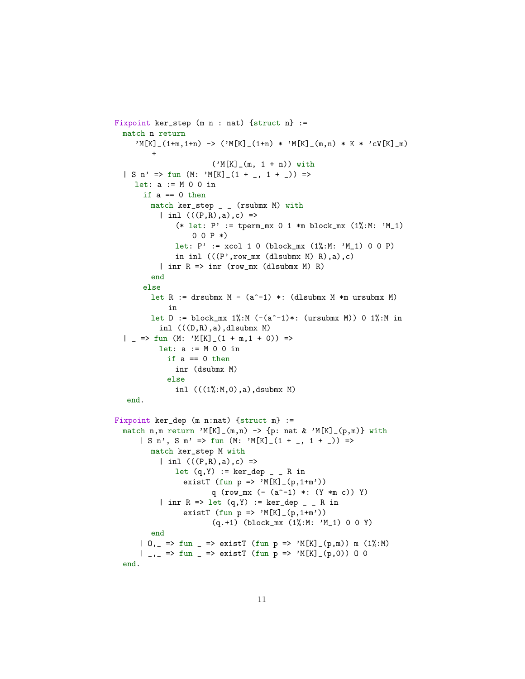```
Fixpoint ker_step (m n : nat) {struct n} :=
  match n return
     M[K]_{-}(1+m,1+n) \rightarrow (M[K]_{-}(1+n) * M[K]_{-}(m,n) * K * 'cV[K]_{-}m)+
                        ('M[K]_{m, 1 + n)) with
  | S n' => fun (M: 'M[K]_{-}(1 + _{-.} 1 + _{..})) =>
    let: a := M 0 0 in
      if a == 0 then
        match ker_step _ _ (rsubmx M) with
           | inl (((P,R),a),c) =>
               (* let: P' := \text{tperm\_mx } 0 1 *m block_mx (1%; M: 'M_1)0 0 P *let: P' := xcol 1 0 (block_mx (1\frac{0}{0}:M: M_1) 0 0 P)
              in inl (((P',row\_mx (dlsubmx M) R),a),c)| inr R \Rightarrow \text{inv} (row_mx (dlsubmx M) R)
         end
      else
         let R := drsubmx M - (a^-1) *: (dlsubmx M *m ursubmx M)
             in
        let D := block_mx 1%:M (-(a^2-1)*: (ursubmx M)) 0 1%:M in
          inl ((D,R),a), dlsubmx M)
  | _ => fun (M: ^{\prime}M[K] _ (1 + m, 1 + 0)) =>
          let: a := M 0 0 in
            if a == 0 then
              inr (dsubmx M)
            else
              inl (((1, 1, 0), a),dsubmx M)
   end.
Fixpoint ker_dep (m n:nat) {struct m} :=
  match n,m return 'M[K]_(m,n) -> {p: nat & 'M[K]_(p,m)} with
      | S n', S m' => fun (M: 'M[K]_(1 + _, 1 + _)) =>
        match ker_step M with
           | inl (((P,R),a),c) =>
              let (q, Y) := \ker _{d}ep _ _ R in
                 existT (fun p \Rightarrow 'M[K](p, 1+m'))q (row_mx (- (a^- - 1) *: (Y * m c)) Y)| inr R => let (q, Y) := ker_dep _ _ R in
                 existT (fun p \Rightarrow 'M[K](p,1+m'))(q.+1) (block_mx (1%:M: 'M_1) 0 0 Y)
         end
      | 0, => fun = => existT (fun p => ^{\circ}M[K] (p,m)) m (1%:M)
      | _{-1} => fun _{-} => existT (fun p => 'M[K] (p,0)) 0 0
  end.
```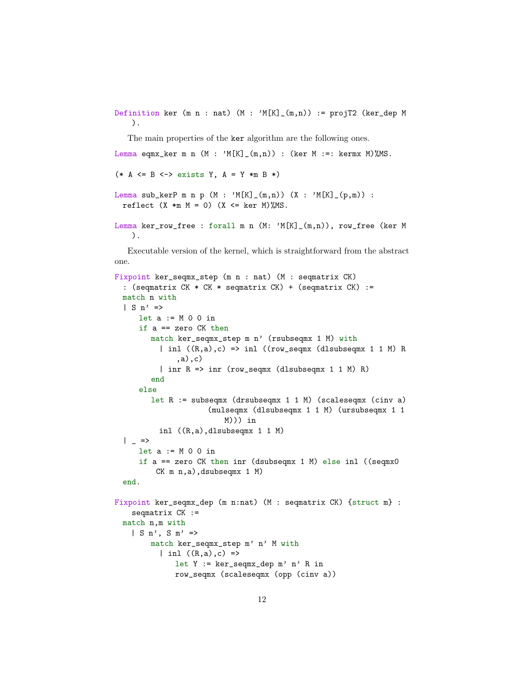Definition ker (m n : nat)  $(M : 'M[K]_-(m,n))$  := projT2 (ker\_dep M ).

The main properties of the ker algorithm are the following ones.

Lemma eqmx\_ker m n  $(M : 'M[K]_-(m,n))$  : (ker M :=: kermx M)%MS.

```
(* A \leq B \leq > exists Y, A = Y *m B *)
```

```
Lemma sub_kerP m n p (M : 'M[K]_-(m,n)) (X : 'M[K]_-(p,m)) :
 reflect (X *m M = 0) (X \leq \ker M)%MS.
```

```
Lemma ker_row_free : forall m n (M: 'M[K]_(m,n)), row_free (ker M
   ).
```
Executable version of the kernel, which is straightforward from the abstract one.

```
Fixpoint ker_seqmx_step (m n : nat) (M : seqmatrix CK)
  : (seqmatrix CK * CK * seqmatrix CK) + (seqmatrix CK) :=
 match n with
 | S n' \Rightarrowlet a := M 0 0 inif a == zero CK then
        match ker_seqmx_step m n' (rsubseqmx 1 M) with
          | inl ((R,a),c) \Rightarrow inl ((row\_seqmx (dlsubseqmx 1 1 M) R)),a),c)
          | inr R => inr (row_seqmx (dlsubseqmx 1 1 M) R)
        end
     else
        let R := subseqmx (drsubseqmx 1 1 M) (scaleseqmx (cinv a)
                     (mulseqmx (dlsubseqmx 1 1 M) (ursubseqmx 1 1
                         M))) in
          inl ((R,a),dlsubseqmx 1 1 M)
 | = \gelet a := M 0 0 in
     if a == zero CK then inr (dsubseqmx 1 M) else inl ((seqmx0
         CK m n,a),dsubseqmx 1 M)
 end.
Fixpoint ker_seqmx_dep (m n:nat) (M : seqmatrix CK) {struct m} :
   seqmatrix CK :=
 match n,m with
   | S n', S m' =>
        match ker_seqmx_step m' n' M with
          | inl ((R,a),c) =>
              let Y := ker_seqmx_dep m' n' R in
              row_seqmx (scaleseqmx (opp (cinv a))
```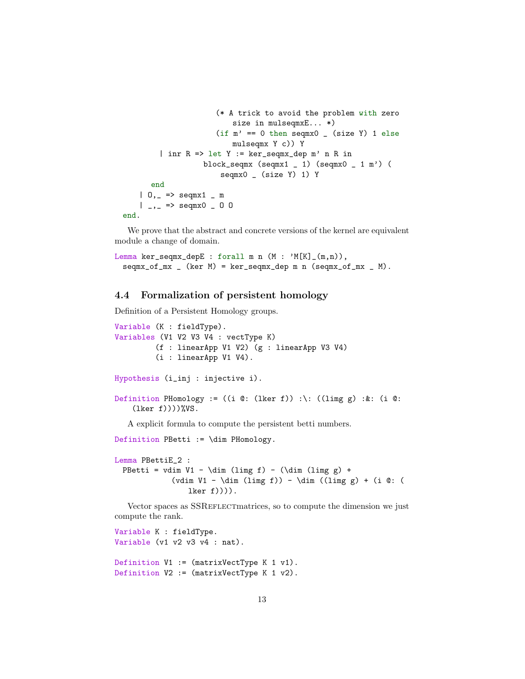```
(* A trick to avoid the problem with zero
                         size in mulseqmxE... *)
                     (if m' == 0 then seqmx0 ( size Y) 1 else
                        mulseqmx Y c)) Y
        | inr R => let Y := ker_seqmx_dep m' n R in
                  block_seqmx (seqmx1 _ 1) (seqmx0 _ 1 m') (
                      seqmx0 _ (size Y) 1) Y
      end
   | 0, | = > seqmx1 | m
   |_{-1} => seqmx0 - 0 0
end.
```
We prove that the abstract and concrete versions of the kernel are equivalent module a change of domain.

```
Lemma ker_seqmx_depE : forall m n (M : 'M[K]_-(m,n)),
 seqmx_of_mx (ker M) = ker_seqmx_dep m n (seqmx_of_mx _M).
```
### 4.4 Formalization of persistent homology

Definition of a Persistent Homology groups.

```
Variable (K : fieldType).
Variables (V1 V2 V3 V4 : vectType K)
         (f : linearApp V1 V2) (g : linearApp V3 V4)
         (i : linearApp V1 V4).
Hypothesis (i_inj : injective i).
Definition PHomology := ((i @: (lker f)) :\: ((limg g) :&: (i @:
    (lker f))))%VS.
  A explicit formula to compute the persistent betti numbers.
Definition PBetti := \dim PHomology.
Lemma PBettiE_2 :
 PBetti = vdim V1 - \dim (limg f) - (\dim (limg g) +
             (vdim V1 - \dim (limg f)) - \dim ((limg g) + (i @: (lker f)))).
```
Vector spaces as SSREFLECT matrices, so to compute the dimension we just compute the rank.

```
Variable K : fieldType.
Variable (v1 v2 v3 v4 : nat).
Definition V1 := (matrixVectType K 1 v1).
Definition V2 := (matrixVectType K 1 v2).
```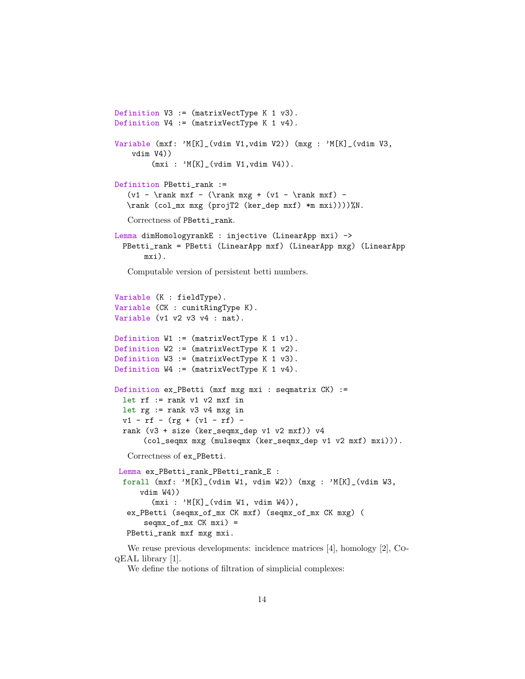```
Definition V3 := (matrixVectType K 1 v3).
Definition V4 := (matrixVectType K 1 v4).
Variable (mxf: 'M[K]_(vdim V1,vdim V2)) (mxg : 'M[K]_(vdim V3,
   vdim V4))
        (mxi : 'M[K]_(vdim V1, vdim V4)).Definition PBetti_rank :=
   (v1 - \rank mxf - (\rank mxg + (v1 - \rank mxf) -\rank (col_mx mxg (projT2 (ker_dep mxf) *m mxi))))%N.
  Correctness of PBetti_rank.
Lemma dimHomologyrankE : injective (LinearApp mxi) ->
 PBetti_rank = PBetti (LinearApp mxf) (LinearApp mxg) (LinearApp
      mxi).
   Computable version of persistent betti numbers.
Variable (K : fieldType).
Variable (CK : cunitRingType K).
Variable (v1 v2 v3 v4 : nat).
Definition W1 := (matrixVectType K 1 v1).
Definition W2 := (matrixVectType K 1 v2).
Definition W3 := (matrixVectType K 1 v3).
Definition W4 := (matrixVectType K 1 v4).
Definition ex_PBetti (mxf mxg mxi : seqmatrix CK) :=
 let rf := rank v1 v2 mxf in
 let rg := rank v3 v4 m xg inv1 - rf - (rg + (vl - rf) -rank (v3 + size (ker_seqmx_dep v1 v2 mxf)) v4
      (col_seqmx mxg (mulseqmx (ker_seqmx_dep v1 v2 mxf) mxi))).
   Correctness of ex_PBetti.
Lemma ex_PBetti_rank_PBetti_rank_E :
 forall (mxf: 'M[K]_(vdim W1, vdim W2)) (mxg : 'M[K]_(vdim W3,
     vdim W4))
        (mxi : 'M[K]_(vdim W1, vdim W4)),
  ex_PBetti (seqmx_of_mx CK mxf) (seqmx_of_mx CK mxg) (
      seqmx_of_mx CK mxi) =
  PBetti_rank mxf mxg mxi.
```
We reuse previous developments: incidence matrices [\[4\]](#page-16-4), homology [\[2\]](#page-16-2), CoqEAL library [\[1\]](#page-16-1).

We define the notions of filtration of simplicial complexes: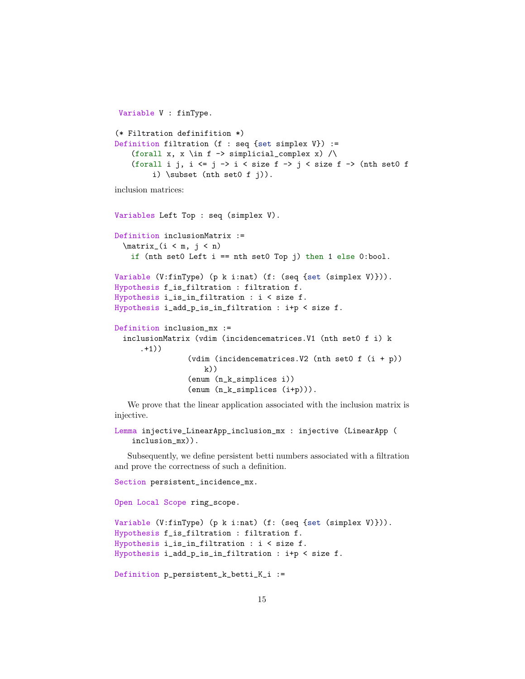```
Variable V : finType.
(* Filtration definifition *)
Definition filtration (f : seq {set simplex V}) :=
    (forall x, x \in f -> simplicial_complex x) /\
    (forall i j, i \leq j \to i \leq size f \Rightarrow j \leq size f \Rightarrow (nth set0 f
         i) \subset (nth set0 f j)).
```
inclusion matrices:

```
Variables Left Top : seq (simplex V).
Definition inclusionMatrix :=
 \matrix (i \leq m, j \leq n)if (nth set0 Left i == nth set0 Top j) then 1 else 0:bool.
Variable (V:finType) (p k i:nat) (f: (seq {set (simplex V)})).
Hypothesis f_is_filtration : filtration f.
Hypothesis i_is_in_filtration : i < size f.
Hypothesis i_add_p_is_in_filtration : i+p < size f.
Definition inclusion_mx :=
 inclusionMatrix (vdim (incidencematrices.V1 (nth set0 f i) k
     .+1))
                (vdim (incidencematrices.V2 (nth set0 f (i + p))
                    k)(enum (n_k_simplices i))
                (enum (n_k_simplices (i+p))).
```
We prove that the linear application associated with the inclusion matrix is injective.

```
Lemma injective_LinearApp_inclusion_mx : injective (LinearApp (
   inclusion_mx)).
```
Subsequently, we define persistent betti numbers associated with a filtration and prove the correctness of such a definition.

Section persistent\_incidence\_mx.

Open Local Scope ring\_scope.

```
Variable (V:finType) (p k i:nat) (f: (seq {set (simplex V)})).
Hypothesis f_is_filtration : filtration f.
Hypothesis i_is_in_filtration : i < size f.
Hypothesis i_add_p_is_in_filtration : i+p < size f.
```

```
Definition p_persistent_k_betti_K_i :=
```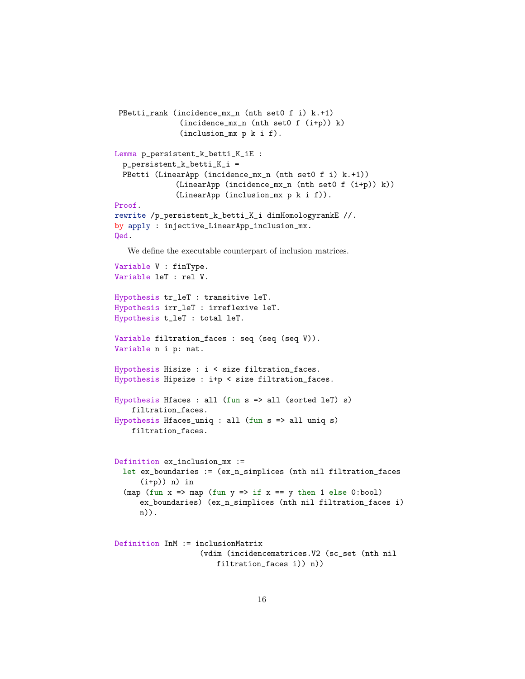```
PBetti_rank (incidence_mx_n (nth set0 f i) k.+1)
              (incidence_mx_n (nth set0 f (i+p)) k)
              (inclusion_mx p k i f).
Lemma p_persistent_k_betti_K_iE :
 p_persistent_k_betti_K_i =
 PBetti (LinearApp (incidence_mx_n (nth set0 f i) k.+1))
              (LinearApp (incidence_mx_n (nth set0 f (i+p)) k))
              (LinearApp (inclusion_mx p k i f)).
Proof.
rewrite /p_persistent_k_betti_K_i dimHomologyrankE //.
by apply : injective_LinearApp_inclusion_mx.
Qed.
```
We define the executable counterpart of inclusion matrices.

```
Variable V : finType.
Variable leT : rel V.
Hypothesis tr_leT : transitive leT.
Hypothesis irr_leT : irreflexive leT.
Hypothesis t_leT : total leT.
Variable filtration_faces : seq (seq (seq V)).
Variable n i p: nat.
Hypothesis Hisize : i < size filtration_faces.
Hypothesis Hipsize : i+p < size filtration_faces.
Hypothesis Hfaces : all (fun s => all (sorted leT) s)
   filtration_faces.
Hypothesis Hfaces_uniq : all (fun s => all uniq s)
   filtration_faces.
Definition ex_inclusion_mx :=
 let ex_boundaries := (ex_n_simplices (nth nil filtration_faces
     (i+p)) n) in
  (map (fun x \Rightarrow map (fun y \Rightarrow if x = y then 1 else 0:bool)
     ex_boundaries) (ex_n_simplices (nth nil filtration_faces i)
     n)).
Definition InM := inclusionMatrix
                   (vdim (incidencematrices.V2 (sc_set (nth nil
```

```
filtration_faces i)) n))
```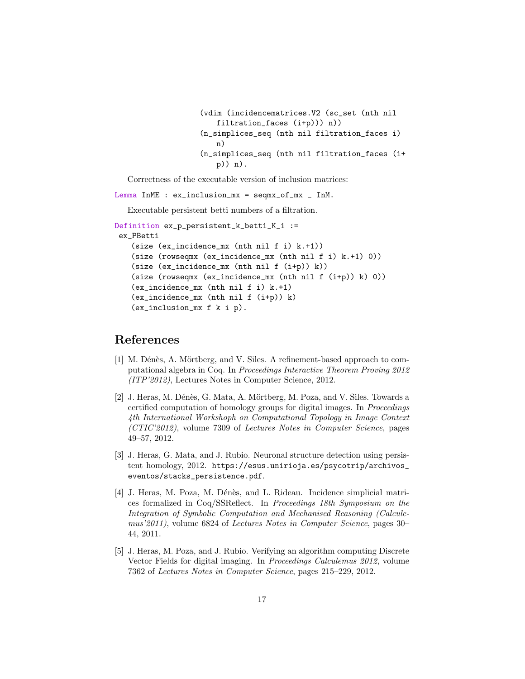```
(vdim (incidencematrices.V2 (sc_set (nth nil
   filtration_faces (i+p))) n))
(n_simplices_seq (nth nil filtration_faces i)
   n)
(n_simplices_seq (nth nil filtration_faces (i+
   p)) n).
```
Correctness of the executable version of inclusion matrices:

Lemma InME : ex\_inclusion\_mx = seqmx\_of\_mx \_ InM.

Executable persistent betti numbers of a filtration.

```
Definition ex_p_persistent_k_betti_K_i :=
ex_PBetti
   (size (ex_incidence_mx (nth nil f i) k.+1))
   (size (rowseqmx (ex_incidence_mx (nth nil f i) k.+1) 0))
   (size (ex_incidence_mx (nth nil f (i+p)) k))
   (size (rowseqmx (ex_incidence_mx (nth nil f (i+p)) k) 0))
   (ex_incidence_mx (nth nil f i) k.+1)
   (ex_incidence_mx (nth nil f (i+p)) k)
   (ex_inclusion_mx f k i p).
```
## References

- <span id="page-16-1"></span>[1] M. Dénès, A. Mörtberg, and V. Siles. A refinement-based approach to computational algebra in Coq. In Proceedings Interactive Theorem Proving 2012 (ITP'2012), Lectures Notes in Computer Science, 2012.
- <span id="page-16-2"></span>[2] J. Heras, M. Dénès, G. Mata, A. Mörtberg, M. Poza, and V. Siles. Towards a certified computation of homology groups for digital images. In Proceedings 4th International Workshoph on Computational Topology in Image Context (CTIC'2012), volume 7309 of Lectures Notes in Computer Science, pages 49–57, 2012.
- <span id="page-16-3"></span>[3] J. Heras, G. Mata, and J. Rubio. Neuronal structure detection using persistent homology, 2012. [https://esus.unirioja.es/psycotrip/archivos\\_](https://esus.unirioja.es/psycotrip/archivos_eventos/stacks_persistence.pdf) [eventos/stacks\\_persistence.pdf](https://esus.unirioja.es/psycotrip/archivos_eventos/stacks_persistence.pdf).
- <span id="page-16-4"></span>[4] J. Heras, M. Poza, M. Dénès, and L. Rideau. Incidence simplicial matrices formalized in Coq/SSReflect. In Proceedings 18th Symposium on the Integration of Symbolic Computation and Mechanised Reasoning (Calculemus'2011), volume 6824 of Lectures Notes in Computer Science, pages 30– 44, 2011.
- <span id="page-16-0"></span>[5] J. Heras, M. Poza, and J. Rubio. Verifying an algorithm computing Discrete Vector Fields for digital imaging. In Proceedings Calculemus 2012, volume 7362 of Lectures Notes in Computer Science, pages 215–229, 2012.